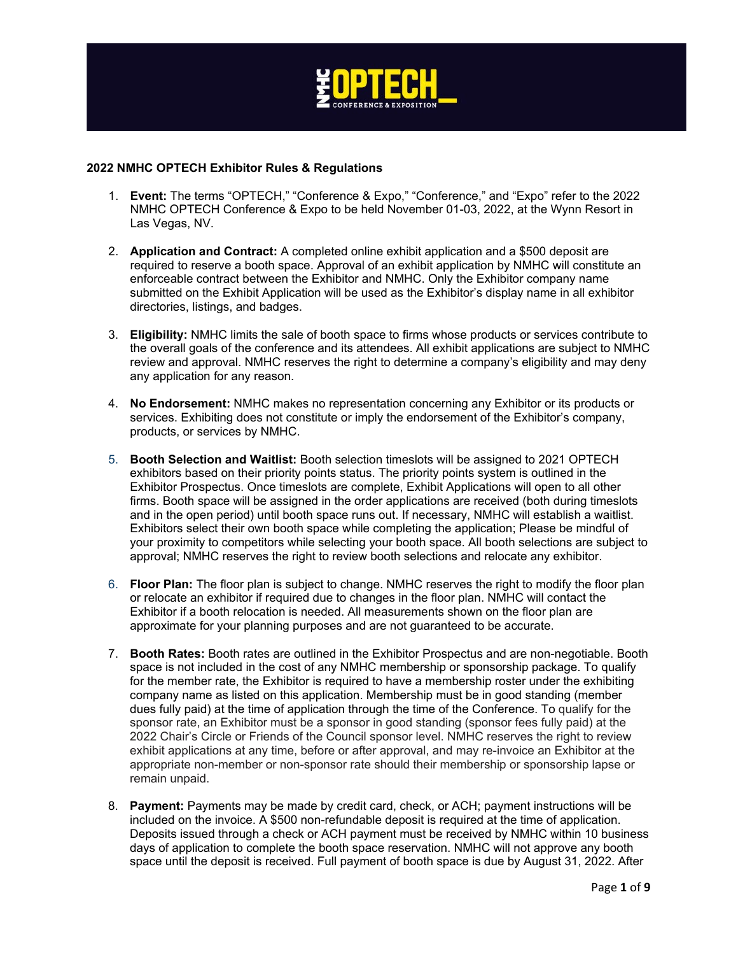

## **2022 NMHC OPTECH Exhibitor Rules & Regulations**

- 1. **Event:** The terms "OPTECH," "Conference & Expo," "Conference," and "Expo" refer to the 2022 NMHC OPTECH Conference & Expo to be held November 01-03, 2022, at the Wynn Resort in Las Vegas, NV.
- 2. **Application and Contract:** A completed online exhibit application and a \$500 deposit are required to reserve a booth space. Approval of an exhibit application by NMHC will constitute an enforceable contract between the Exhibitor and NMHC. Only the Exhibitor company name submitted on the Exhibit Application will be used as the Exhibitor's display name in all exhibitor directories, listings, and badges.
- 3. **Eligibility:** NMHC limits the sale of booth space to firms whose products or services contribute to the overall goals of the conference and its attendees. All exhibit applications are subject to NMHC review and approval. NMHC reserves the right to determine a company's eligibility and may deny any application for any reason.
- 4. **No Endorsement:** NMHC makes no representation concerning any Exhibitor or its products or services. Exhibiting does not constitute or imply the endorsement of the Exhibitor's company, products, or services by NMHC.
- 5. **Booth Selection and Waitlist:** Booth selection timeslots will be assigned to 2021 OPTECH exhibitors based on their priority points status. The priority points system is outlined in the Exhibitor Prospectus. Once timeslots are complete, Exhibit Applications will open to all other firms. Booth space will be assigned in the order applications are received (both during timeslots and in the open period) until booth space runs out. If necessary, NMHC will establish a waitlist. Exhibitors select their own booth space while completing the application; Please be mindful of your proximity to competitors while selecting your booth space. All booth selections are subject to approval; NMHC reserves the right to review booth selections and relocate any exhibitor.
- 6. **Floor Plan:** The floor plan is subject to change. NMHC reserves the right to modify the floor plan or relocate an exhibitor if required due to changes in the floor plan. NMHC will contact the Exhibitor if a booth relocation is needed. All measurements shown on the floor plan are approximate for your planning purposes and are not guaranteed to be accurate.
- 7. **Booth Rates:** Booth rates are outlined in the Exhibitor Prospectus and are non-negotiable. Booth space is not included in the cost of any NMHC membership or sponsorship package. To qualify for the member rate, the Exhibitor is required to have a membership roster under the exhibiting company name as listed on this application. Membership must be in good standing (member dues fully paid) at the time of application through the time of the Conference. To qualify for the sponsor rate, an Exhibitor must be a sponsor in good standing (sponsor fees fully paid) at the 2022 Chair's Circle or Friends of the Council sponsor level. NMHC reserves the right to review exhibit applications at any time, before or after approval, and may re-invoice an Exhibitor at the appropriate non-member or non-sponsor rate should their membership or sponsorship lapse or remain unpaid.
- 8. **Payment:** Payments may be made by credit card, check, or ACH; payment instructions will be included on the invoice. A \$500 non-refundable deposit is required at the time of application. Deposits issued through a check or ACH payment must be received by NMHC within 10 business days of application to complete the booth space reservation. NMHC will not approve any booth space until the deposit is received. Full payment of booth space is due by August 31, 2022. After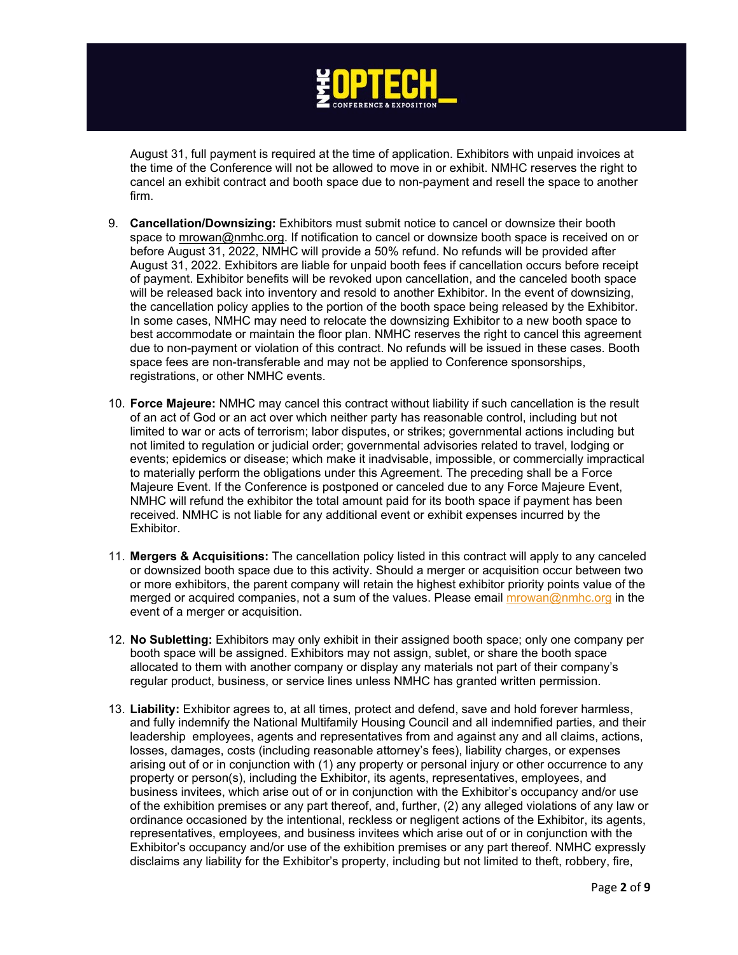

August 31, full payment is required at the time of application. Exhibitors with unpaid invoices at the time of the Conference will not be allowed to move in or exhibit. NMHC reserves the right to cancel an exhibit contract and booth space due to non-payment and resell the space to another firm.

- 9. **Cancellation/Downsizing:** Exhibitors must submit notice to cancel or downsize their booth space to [mrowan@nmhc.org.](mailto:mrowan@nmhc.org) If notification to cancel or downsize booth space is received on or before August 31, 2022, NMHC will provide a 50% refund. No refunds will be provided after August 31, 2022. Exhibitors are liable for unpaid booth fees if cancellation occurs before receipt of payment. Exhibitor benefits will be revoked upon cancellation, and the canceled booth space will be released back into inventory and resold to another Exhibitor. In the event of downsizing, the cancellation policy applies to the portion of the booth space being released by the Exhibitor. In some cases, NMHC may need to relocate the downsizing Exhibitor to a new booth space to best accommodate or maintain the floor plan. NMHC reserves the right to cancel this agreement due to non-payment or violation of this contract. No refunds will be issued in these cases. Booth space fees are non-transferable and may not be applied to Conference sponsorships, registrations, or other NMHC events.
- 10. **Force Majeure:** NMHC may cancel this contract without liability if such cancellation is the result of an act of God or an act over which neither party has reasonable control, including but not limited to war or acts of terrorism; labor disputes, or strikes; governmental actions including but not limited to regulation or judicial order; governmental advisories related to travel, lodging or events; epidemics or disease; which make it inadvisable, impossible, or commercially impractical to materially perform the obligations under this Agreement. The preceding shall be a Force Majeure Event. If the Conference is postponed or canceled due to any Force Majeure Event, NMHC will refund the exhibitor the total amount paid for its booth space if payment has been received. NMHC is not liable for any additional event or exhibit expenses incurred by the Exhibitor.
- 11. **Mergers & Acquisitions:** The cancellation policy listed in this contract will apply to any canceled or downsized booth space due to this activity. Should a merger or acquisition occur between two or more exhibitors, the parent company will retain the highest exhibitor priority points value of the merged or acquired companies, not a sum of the values. Please email [mrowan@nmhc.org](mailto:mrowan@nmhc.org) in the event of a merger or acquisition.
- 12. **No Subletting:** Exhibitors may only exhibit in their assigned booth space; only one company per booth space will be assigned. Exhibitors may not assign, sublet, or share the booth space allocated to them with another company or display any materials not part of their company's regular product, business, or service lines unless NMHC has granted written permission.
- 13. **Liability:** Exhibitor agrees to, at all times, protect and defend, save and hold forever harmless, and fully indemnify the National Multifamily Housing Council and all indemnified parties, and their leadership employees, agents and representatives from and against any and all claims, actions, losses, damages, costs (including reasonable attorney's fees), liability charges, or expenses arising out of or in conjunction with (1) any property or personal injury or other occurrence to any property or person(s), including the Exhibitor, its agents, representatives, employees, and business invitees, which arise out of or in conjunction with the Exhibitor's occupancy and/or use of the exhibition premises or any part thereof, and, further, (2) any alleged violations of any law or ordinance occasioned by the intentional, reckless or negligent actions of the Exhibitor, its agents, representatives, employees, and business invitees which arise out of or in conjunction with the Exhibitor's occupancy and/or use of the exhibition premises or any part thereof. NMHC expressly disclaims any liability for the Exhibitor's property, including but not limited to theft, robbery, fire,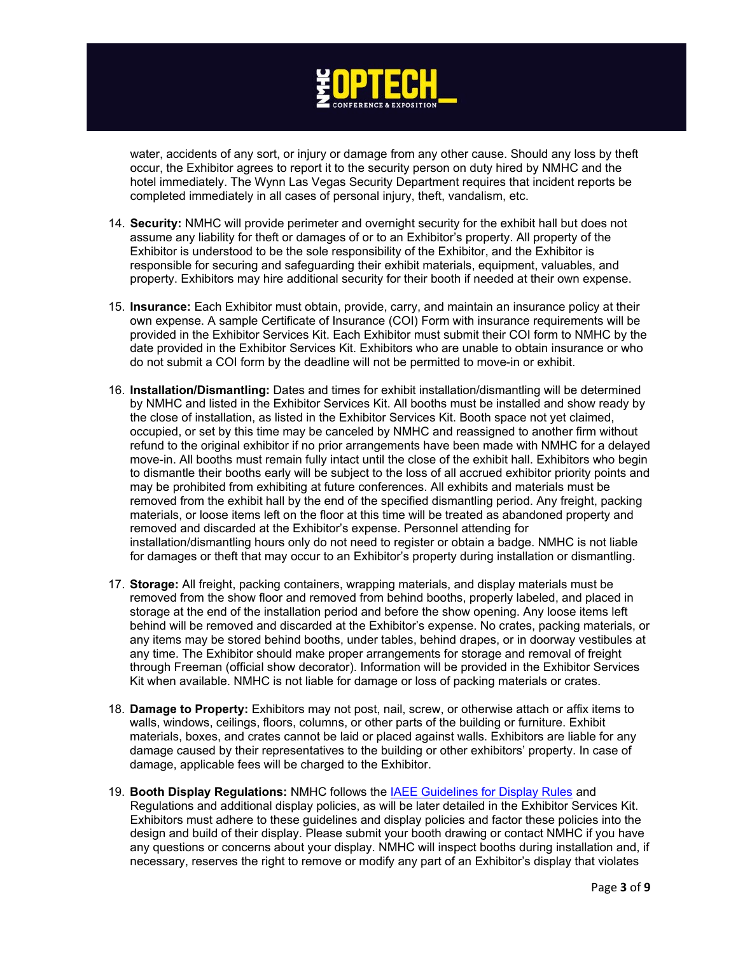

water, accidents of any sort, or injury or damage from any other cause. Should any loss by theft occur, the Exhibitor agrees to report it to the security person on duty hired by NMHC and the hotel immediately. The Wynn Las Vegas Security Department requires that incident reports be completed immediately in all cases of personal injury, theft, vandalism, etc.

- 14. **Security:** NMHC will provide perimeter and overnight security for the exhibit hall but does not assume any liability for theft or damages of or to an Exhibitor's property. All property of the Exhibitor is understood to be the sole responsibility of the Exhibitor, and the Exhibitor is responsible for securing and safeguarding their exhibit materials, equipment, valuables, and property. Exhibitors may hire additional security for their booth if needed at their own expense.
- 15. **Insurance:** Each Exhibitor must obtain, provide, carry, and maintain an insurance policy at their own expense. A sample Certificate of Insurance (COI) Form with insurance requirements will be provided in the Exhibitor Services Kit. Each Exhibitor must submit their COI form to NMHC by the date provided in the Exhibitor Services Kit. Exhibitors who are unable to obtain insurance or who do not submit a COI form by the deadline will not be permitted to move-in or exhibit.
- 16. **Installation/Dismantling:** Dates and times for exhibit installation/dismantling will be determined by NMHC and listed in the Exhibitor Services Kit. All booths must be installed and show ready by the close of installation, as listed in the Exhibitor Services Kit. Booth space not yet claimed, occupied, or set by this time may be canceled by NMHC and reassigned to another firm without refund to the original exhibitor if no prior arrangements have been made with NMHC for a delayed move-in. All booths must remain fully intact until the close of the exhibit hall. Exhibitors who begin to dismantle their booths early will be subject to the loss of all accrued exhibitor priority points and may be prohibited from exhibiting at future conferences. All exhibits and materials must be removed from the exhibit hall by the end of the specified dismantling period. Any freight, packing materials, or loose items left on the floor at this time will be treated as abandoned property and removed and discarded at the Exhibitor's expense. Personnel attending for installation/dismantling hours only do not need to register or obtain a badge. NMHC is not liable for damages or theft that may occur to an Exhibitor's property during installation or dismantling.
- 17. **Storage:** All freight, packing containers, wrapping materials, and display materials must be removed from the show floor and removed from behind booths, properly labeled, and placed in storage at the end of the installation period and before the show opening. Any loose items left behind will be removed and discarded at the Exhibitor's expense. No crates, packing materials, or any items may be stored behind booths, under tables, behind drapes, or in doorway vestibules at any time. The Exhibitor should make proper arrangements for storage and removal of freight through Freeman (official show decorator). Information will be provided in the Exhibitor Services Kit when available. NMHC is not liable for damage or loss of packing materials or crates.
- 18. **Damage to Property:** Exhibitors may not post, nail, screw, or otherwise attach or affix items to walls, windows, ceilings, floors, columns, or other parts of the building or furniture. Exhibit materials, boxes, and crates cannot be laid or placed against walls. Exhibitors are liable for any damage caused by their representatives to the building or other exhibitors' property. In case of damage, applicable fees will be charged to the Exhibitor.
- 19. **Booth Display Regulations:** NMHC follows the [IAEE Guidelines for Display Rules](https://www.nmhc.org/globalassets/meetings/exhibit/2022-exhibits/iaeeguidelinesfordisplayrules.pdf) and Regulations and additional display policies, as will be later detailed in the Exhibitor Services Kit. Exhibitors must adhere to these guidelines and display policies and factor these policies into the design and build of their display. Please submit your booth drawing or contact NMHC if you have any questions or concerns about your display. NMHC will inspect booths during installation and, if necessary, reserves the right to remove or modify any part of an Exhibitor's display that violates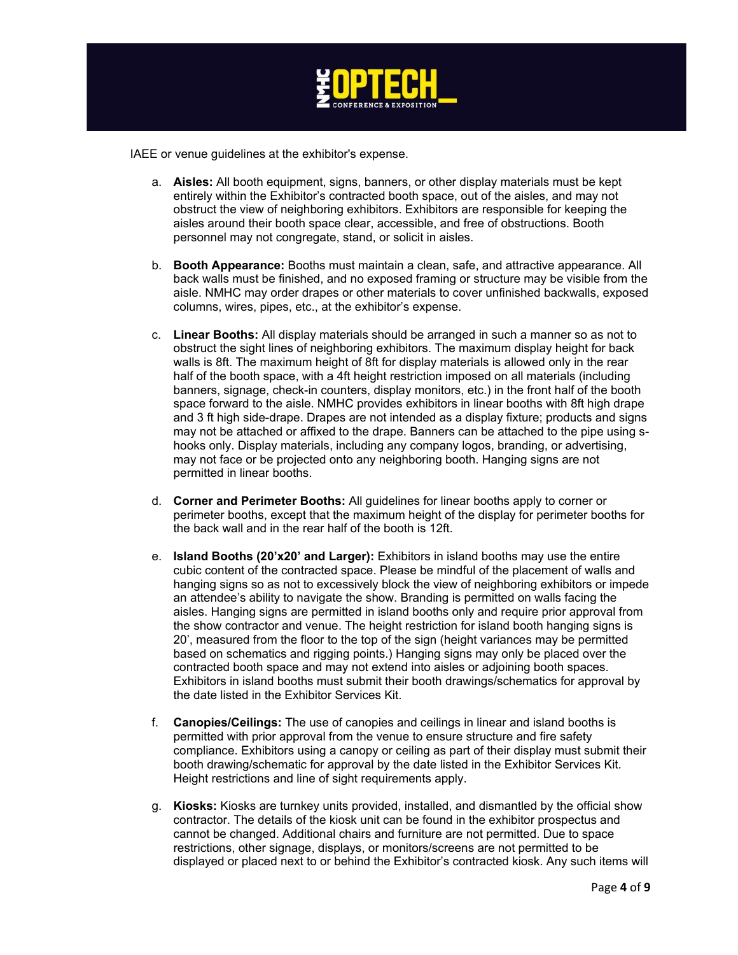

IAEE or venue guidelines at the exhibitor's expense.

- a. **Aisles:** All booth equipment, signs, banners, or other display materials must be kept entirely within the Exhibitor's contracted booth space, out of the aisles, and may not obstruct the view of neighboring exhibitors. Exhibitors are responsible for keeping the aisles around their booth space clear, accessible, and free of obstructions. Booth personnel may not congregate, stand, or solicit in aisles.
- b. **Booth Appearance:** Booths must maintain a clean, safe, and attractive appearance. All back walls must be finished, and no exposed framing or structure may be visible from the aisle. NMHC may order drapes or other materials to cover unfinished backwalls, exposed columns, wires, pipes, etc., at the exhibitor's expense.
- c. **Linear Booths:** All display materials should be arranged in such a manner so as not to obstruct the sight lines of neighboring exhibitors. The maximum display height for back walls is 8ft. The maximum height of 8ft for display materials is allowed only in the rear half of the booth space, with a 4ft height restriction imposed on all materials (including banners, signage, check-in counters, display monitors, etc.) in the front half of the booth space forward to the aisle. NMHC provides exhibitors in linear booths with 8ft high drape and 3 ft high side-drape. Drapes are not intended as a display fixture; products and signs may not be attached or affixed to the drape. Banners can be attached to the pipe using shooks only. Display materials, including any company logos, branding, or advertising, may not face or be projected onto any neighboring booth. Hanging signs are not permitted in linear booths.
- d. **Corner and Perimeter Booths:** All guidelines for linear booths apply to corner or perimeter booths, except that the maximum height of the display for perimeter booths for the back wall and in the rear half of the booth is 12ft.
- e. **Island Booths (20'x20' and Larger):** Exhibitors in island booths may use the entire cubic content of the contracted space. Please be mindful of the placement of walls and hanging signs so as not to excessively block the view of neighboring exhibitors or impede an attendee's ability to navigate the show. Branding is permitted on walls facing the aisles. Hanging signs are permitted in island booths only and require prior approval from the show contractor and venue. The height restriction for island booth hanging signs is 20', measured from the floor to the top of the sign (height variances may be permitted based on schematics and rigging points.) Hanging signs may only be placed over the contracted booth space and may not extend into aisles or adjoining booth spaces. Exhibitors in island booths must submit their booth drawings/schematics for approval by the date listed in the Exhibitor Services Kit.
- f. **Canopies/Ceilings:** The use of canopies and ceilings in linear and island booths is permitted with prior approval from the venue to ensure structure and fire safety compliance. Exhibitors using a canopy or ceiling as part of their display must submit their booth drawing/schematic for approval by the date listed in the Exhibitor Services Kit. Height restrictions and line of sight requirements apply.
- g. **Kiosks:** Kiosks are turnkey units provided, installed, and dismantled by the official show contractor. The details of the kiosk unit can be found in the exhibitor prospectus and cannot be changed. Additional chairs and furniture are not permitted. Due to space restrictions, other signage, displays, or monitors/screens are not permitted to be displayed or placed next to or behind the Exhibitor's contracted kiosk. Any such items will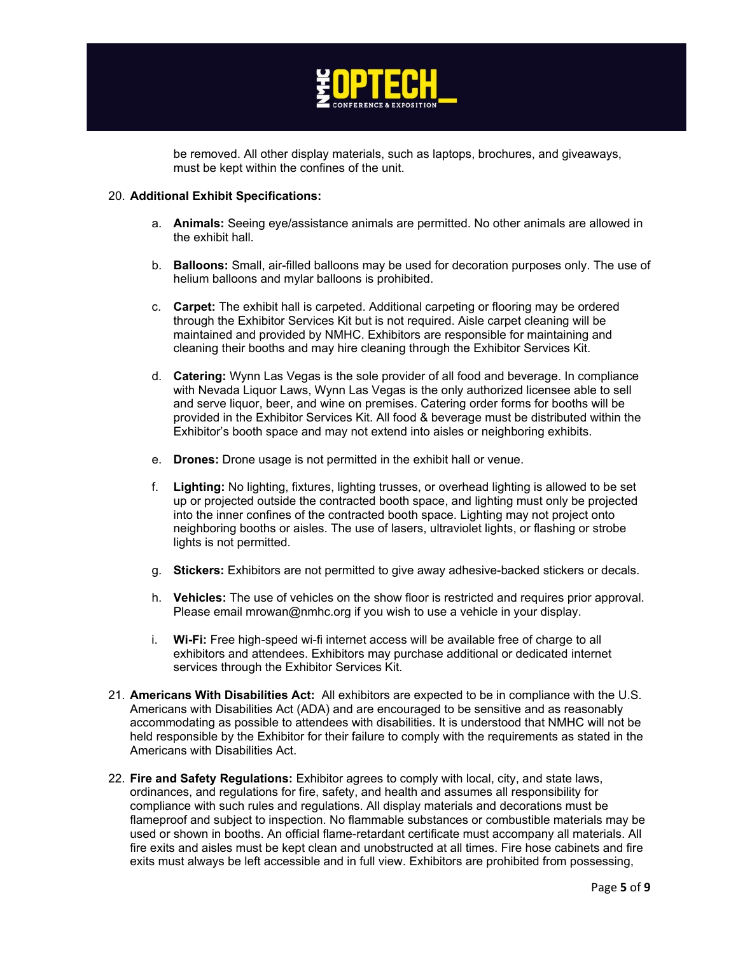

be removed. All other display materials, such as laptops, brochures, and giveaways, must be kept within the confines of the unit.

## 20. **Additional Exhibit Specifications:**

- a. **Animals:** Seeing eye/assistance animals are permitted. No other animals are allowed in the exhibit hall.
- b. **Balloons:** Small, air-filled balloons may be used for decoration purposes only. The use of helium balloons and mylar balloons is prohibited.
- c. **Carpet:** The exhibit hall is carpeted. Additional carpeting or flooring may be ordered through the Exhibitor Services Kit but is not required. Aisle carpet cleaning will be maintained and provided by NMHC. Exhibitors are responsible for maintaining and cleaning their booths and may hire cleaning through the Exhibitor Services Kit.
- d. **Catering:** Wynn Las Vegas is the sole provider of all food and beverage. In compliance with Nevada Liquor Laws, Wynn Las Vegas is the only authorized licensee able to sell and serve liquor, beer, and wine on premises. Catering order forms for booths will be provided in the Exhibitor Services Kit. All food & beverage must be distributed within the Exhibitor's booth space and may not extend into aisles or neighboring exhibits.
- e. **Drones:** Drone usage is not permitted in the exhibit hall or venue.
- f. **Lighting:** No lighting, fixtures, lighting trusses, or overhead lighting is allowed to be set up or projected outside the contracted booth space, and lighting must only be projected into the inner confines of the contracted booth space. Lighting may not project onto neighboring booths or aisles. The use of lasers, ultraviolet lights, or flashing or strobe lights is not permitted.
- g. **Stickers:** Exhibitors are not permitted to give away adhesive-backed stickers or decals.
- h. **Vehicles:** The use of vehicles on the show floor is restricted and requires prior approval. Please email mrowan@nmhc.org if you wish to use a vehicle in your display.
- i. **Wi-Fi:** Free high-speed wi-fi internet access will be available free of charge to all exhibitors and attendees. Exhibitors may purchase additional or dedicated internet services through the Exhibitor Services Kit.
- 21. **Americans With Disabilities Act:** All exhibitors are expected to be in compliance with the U.S. Americans with Disabilities Act (ADA) and are encouraged to be sensitive and as reasonably accommodating as possible to attendees with disabilities. It is understood that NMHC will not be held responsible by the Exhibitor for their failure to comply with the requirements as stated in the Americans with Disabilities Act.
- 22. **Fire and Safety Regulations:** Exhibitor agrees to comply with local, city, and state laws, ordinances, and regulations for fire, safety, and health and assumes all responsibility for compliance with such rules and regulations. All display materials and decorations must be flameproof and subject to inspection. No flammable substances or combustible materials may be used or shown in booths. An official flame-retardant certificate must accompany all materials. All fire exits and aisles must be kept clean and unobstructed at all times. Fire hose cabinets and fire exits must always be left accessible and in full view. Exhibitors are prohibited from possessing,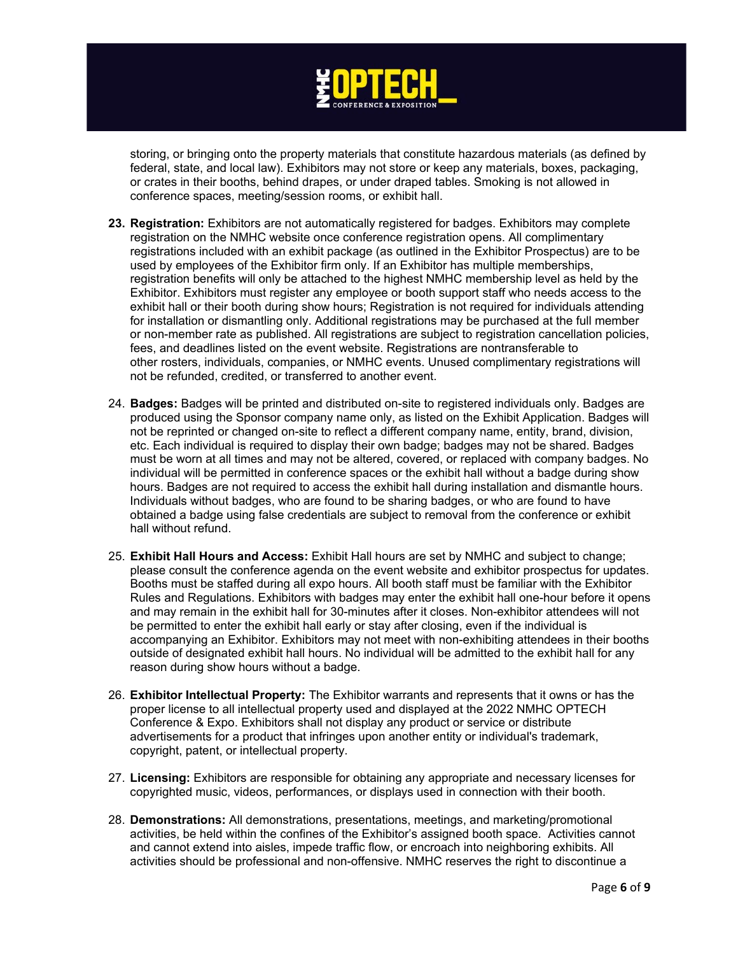

storing, or bringing onto the property materials that constitute hazardous materials (as defined by federal, state, and local law). Exhibitors may not store or keep any materials, boxes, packaging, or crates in their booths, behind drapes, or under draped tables. Smoking is not allowed in conference spaces, meeting/session rooms, or exhibit hall.

- **23. Registration:** Exhibitors are not automatically registered for badges. Exhibitors may complete registration on the NMHC website once conference registration opens. All complimentary registrations included with an exhibit package (as outlined in the Exhibitor Prospectus) are to be used by employees of the Exhibitor firm only. If an Exhibitor has multiple memberships, registration benefits will only be attached to the highest NMHC membership level as held by the Exhibitor. Exhibitors must register any employee or booth support staff who needs access to the exhibit hall or their booth during show hours; Registration is not required for individuals attending for installation or dismantling only. Additional registrations may be purchased at the full member or non-member rate as published. All registrations are subject to registration cancellation policies, fees, and deadlines listed on the event website. Registrations are nontransferable to other rosters, individuals, companies, or NMHC events. Unused complimentary registrations will not be refunded, credited, or transferred to another event.
- 24. **Badges:** Badges will be printed and distributed on-site to registered individuals only. Badges are produced using the Sponsor company name only, as listed on the Exhibit Application. Badges will not be reprinted or changed on-site to reflect a different company name, entity, brand, division, etc. Each individual is required to display their own badge; badges may not be shared. Badges must be worn at all times and may not be altered, covered, or replaced with company badges. No individual will be permitted in conference spaces or the exhibit hall without a badge during show hours. Badges are not required to access the exhibit hall during installation and dismantle hours. Individuals without badges, who are found to be sharing badges, or who are found to have obtained a badge using false credentials are subject to removal from the conference or exhibit hall without refund.
- 25. **Exhibit Hall Hours and Access:** Exhibit Hall hours are set by NMHC and subject to change; please consult the conference agenda on the event website and exhibitor prospectus for updates. Booths must be staffed during all expo hours. All booth staff must be familiar with the Exhibitor Rules and Regulations. Exhibitors with badges may enter the exhibit hall one-hour before it opens and may remain in the exhibit hall for 30-minutes after it closes. Non-exhibitor attendees will not be permitted to enter the exhibit hall early or stay after closing, even if the individual is accompanying an Exhibitor. Exhibitors may not meet with non-exhibiting attendees in their booths outside of designated exhibit hall hours. No individual will be admitted to the exhibit hall for any reason during show hours without a badge.
- 26. **Exhibitor Intellectual Property:** The Exhibitor warrants and represents that it owns or has the proper license to all intellectual property used and displayed at the 2022 NMHC OPTECH Conference & Expo. Exhibitors shall not display any product or service or distribute advertisements for a product that infringes upon another entity or individual's trademark, copyright, patent, or intellectual property.
- 27. **Licensing:** Exhibitors are responsible for obtaining any appropriate and necessary licenses for copyrighted music, videos, performances, or displays used in connection with their booth.
- 28. **Demonstrations:** All demonstrations, presentations, meetings, and marketing/promotional activities, be held within the confines of the Exhibitor's assigned booth space. Activities cannot and cannot extend into aisles, impede traffic flow, or encroach into neighboring exhibits. All activities should be professional and non-offensive. NMHC reserves the right to discontinue a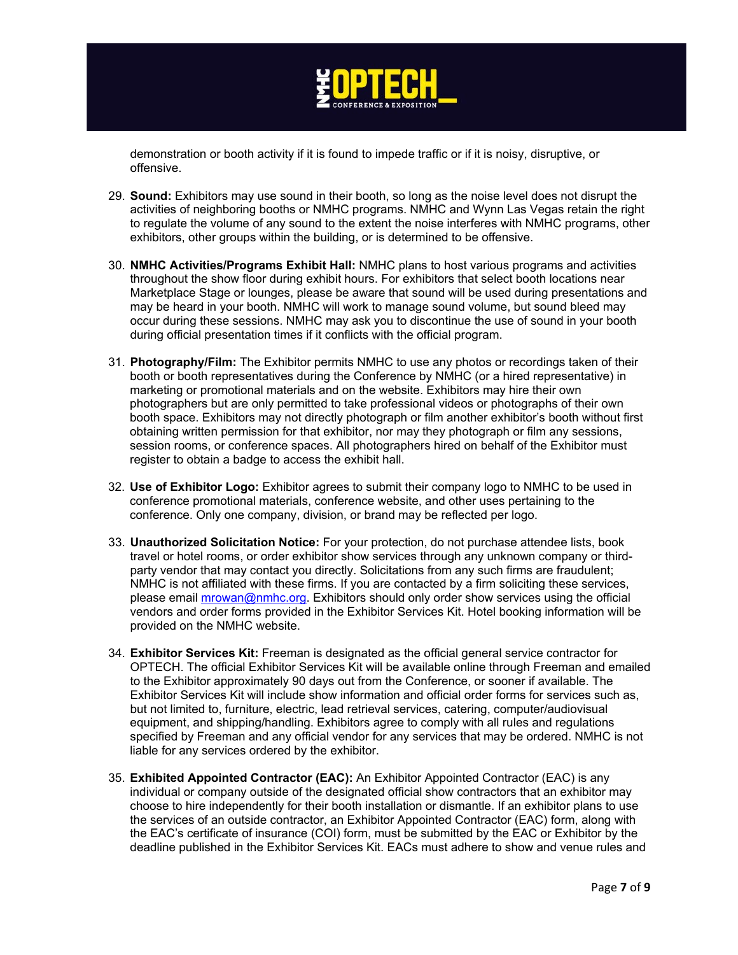

demonstration or booth activity if it is found to impede traffic or if it is noisy, disruptive, or offensive.

- 29. **Sound:** Exhibitors may use sound in their booth, so long as the noise level does not disrupt the activities of neighboring booths or NMHC programs. NMHC and Wynn Las Vegas retain the right to regulate the volume of any sound to the extent the noise interferes with NMHC programs, other exhibitors, other groups within the building, or is determined to be offensive.
- 30. **NMHC Activities/Programs Exhibit Hall:** NMHC plans to host various programs and activities throughout the show floor during exhibit hours. For exhibitors that select booth locations near Marketplace Stage or lounges, please be aware that sound will be used during presentations and may be heard in your booth. NMHC will work to manage sound volume, but sound bleed may occur during these sessions. NMHC may ask you to discontinue the use of sound in your booth during official presentation times if it conflicts with the official program.
- 31. **Photography/Film:** The Exhibitor permits NMHC to use any photos or recordings taken of their booth or booth representatives during the Conference by NMHC (or a hired representative) in marketing or promotional materials and on the website. Exhibitors may hire their own photographers but are only permitted to take professional videos or photographs of their own booth space. Exhibitors may not directly photograph or film another exhibitor's booth without first obtaining written permission for that exhibitor, nor may they photograph or film any sessions, session rooms, or conference spaces. All photographers hired on behalf of the Exhibitor must register to obtain a badge to access the exhibit hall.
- 32. **Use of Exhibitor Logo:** Exhibitor agrees to submit their company logo to NMHC to be used in conference promotional materials, conference website, and other uses pertaining to the conference. Only one company, division, or brand may be reflected per logo.
- 33. **Unauthorized Solicitation Notice:** For your protection, do not purchase attendee lists, book travel or hotel rooms, or order exhibitor show services through any unknown company or thirdparty vendor that may contact you directly. Solicitations from any such firms are fraudulent; NMHC is not affiliated with these firms. If you are contacted by a firm soliciting these services, please email [mrowan@nmhc.org.](mailto:mrowan@nmhc.org) Exhibitors should only order show services using the official vendors and order forms provided in the Exhibitor Services Kit. Hotel booking information will be provided on the NMHC website.
- 34. **Exhibitor Services Kit:** Freeman is designated as the official general service contractor for OPTECH. The official Exhibitor Services Kit will be available online through Freeman and emailed to the Exhibitor approximately 90 days out from the Conference, or sooner if available. The Exhibitor Services Kit will include show information and official order forms for services such as, but not limited to, furniture, electric, lead retrieval services, catering, computer/audiovisual equipment, and shipping/handling. Exhibitors agree to comply with all rules and regulations specified by Freeman and any official vendor for any services that may be ordered. NMHC is not liable for any services ordered by the exhibitor.
- 35. **Exhibited Appointed Contractor (EAC):** An Exhibitor Appointed Contractor (EAC) is any individual or company outside of the designated official show contractors that an exhibitor may choose to hire independently for their booth installation or dismantle. If an exhibitor plans to use the services of an outside contractor, an Exhibitor Appointed Contractor (EAC) form, along with the EAC's certificate of insurance (COI) form, must be submitted by the EAC or Exhibitor by the deadline published in the Exhibitor Services Kit. EACs must adhere to show and venue rules and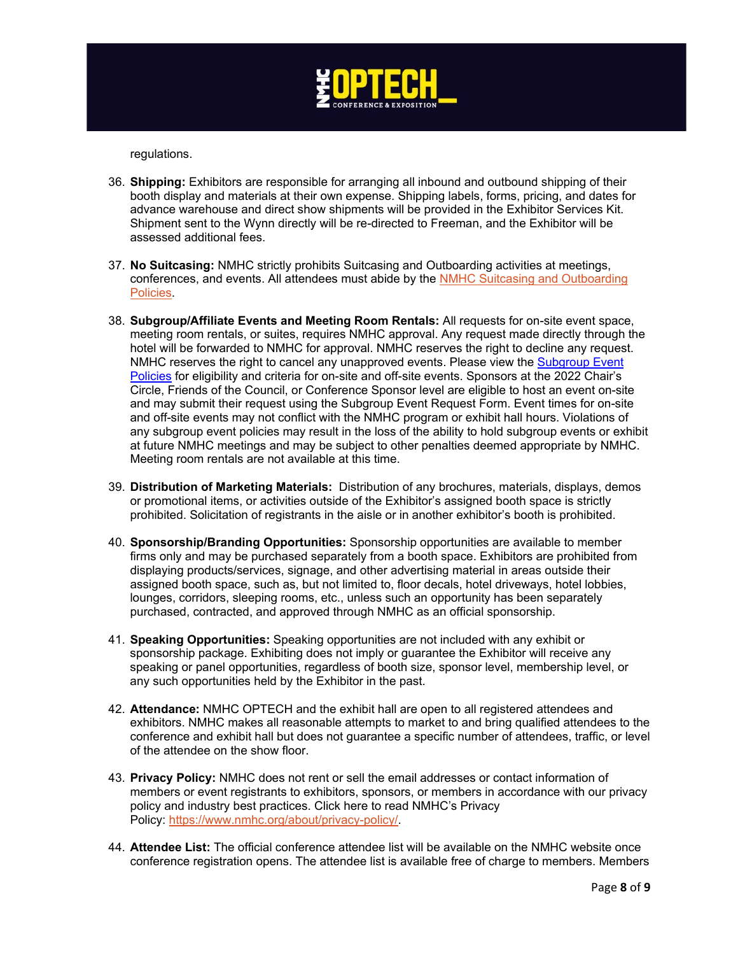

regulations.

- 36. **Shipping:** Exhibitors are responsible for arranging all inbound and outbound shipping of their booth display and materials at their own expense. Shipping labels, forms, pricing, and dates for advance warehouse and direct show shipments will be provided in the Exhibitor Services Kit. Shipment sent to the Wynn directly will be re-directed to Freeman, and the Exhibitor will be assessed additional fees.
- 37. **No Suitcasing:** NMHC strictly prohibits Suitcasing and Outboarding activities at meetings, conferences, and events. All attendees must abide by the NMHC Suitcasing and Outboarding [Policies.](https://www.nmhc.org/globalassets/meetings/sponsorship-opportunities/2022-sponsor-policy-updates/suitcasing-and-outboarding-policy-march-2022.pdf)
- 38. **Subgroup/Affiliate Events and Meeting Room Rentals:** All requests for on-site event space, meeting room rentals, or suites, requires NMHC approval. Any request made directly through the hotel will be forwarded to NMHC for approval. NMHC reserves the right to decline any request. NMHC reserves the right to cancel any unapproved events. Please view the [Subgroup Event](https://www.nmhc.org/globalassets/meetings/sponsorship-opportunities/2022-sponsor-policy-updates/sponsor-subgroup-event-policies-march-2022.pdf)  [Policies](https://www.nmhc.org/globalassets/meetings/sponsorship-opportunities/2022-sponsor-policy-updates/sponsor-subgroup-event-policies-march-2022.pdf) for eligibility and criteria for on-site and off-site events. Sponsors at the 2022 Chair's Circle, Friends of the Council, or Conference Sponsor level are eligible to host an event on-site and may submit their request using the Subgroup Event Request Form. Event times for on-site and off-site events may not conflict with the NMHC program or exhibit hall hours. Violations of any subgroup event policies may result in the loss of the ability to hold subgroup events or exhibit at future NMHC meetings and may be subject to other penalties deemed appropriate by NMHC. Meeting room rentals are not available at this time.
- 39. **Distribution of Marketing Materials:** Distribution of any brochures, materials, displays, demos or promotional items, or activities outside of the Exhibitor's assigned booth space is strictly prohibited. Solicitation of registrants in the aisle or in another exhibitor's booth is prohibited.
- 40. **Sponsorship/Branding Opportunities:** Sponsorship opportunities are available to member firms only and may be purchased separately from a booth space. Exhibitors are prohibited from displaying products/services, signage, and other advertising material in areas outside their assigned booth space, such as, but not limited to, floor decals, hotel driveways, hotel lobbies, lounges, corridors, sleeping rooms, etc., unless such an opportunity has been separately purchased, contracted, and approved through NMHC as an official sponsorship.
- 41. **Speaking Opportunities:** Speaking opportunities are not included with any exhibit or sponsorship package. Exhibiting does not imply or guarantee the Exhibitor will receive any speaking or panel opportunities, regardless of booth size, sponsor level, membership level, or any such opportunities held by the Exhibitor in the past.
- 42. **Attendance:** NMHC OPTECH and the exhibit hall are open to all registered attendees and exhibitors. NMHC makes all reasonable attempts to market to and bring qualified attendees to the conference and exhibit hall but does not guarantee a specific number of attendees, traffic, or level of the attendee on the show floor.
- 43. **Privacy Policy:** NMHC does not rent or sell the email addresses or contact information of members or event registrants to exhibitors, sponsors, or members in accordance with our privacy policy and industry best practices. Click here to read NMHC's Privacy Policy: [https://www.nmhc.org/about/privacy-policy/.](https://u8084946.ct.sendgrid.net/ls/click?upn=W18b6DI7f3N0uJLSPQ4Pz6hYZQc-2FCpzap-2Fr1jd3aIiaxaHsIx7lcBbUGDUMCYLAEd8vUSQbycQX-2F7jUp-2BAMGjA-3D-3DYBie_ci9CWJ0Cn3OC4jRvXLOQoEYJFd0qqPwUnmR-2F8CYmbhfyxX4tv5aviJ8GnzBWBkWJIDAsePTxEtYUreCcYxI2B0AJRGJIAkiYZOvDiSiuMUF1rwXZWfapaD4Vpz2GUUQkN0w2tiW7AmdPMct0e7XDlWGnisz9MwBSzj5xfGTXwEbeSg4sBvl1dfYHnWvgsS1cv-2Fa58HWX45OSq12sD62kaVBgZIz-2F-2BeH8SebjRkA24V0keQwvrzMfiY-2Fw9MFzK4eHN9lKWC6jhP8yFs4BdmhcTdA-2Bp3JKM-2F5Gz-2FgADJfgKBSYSLb7Lt-2FFgG39UWuHG-2FvxlpVdl1u-2FsIilaUACHJBfEHDCpHhN-2FIxZe8uhX6v2-2BCs-2FP7b6WJDTvsDAB-2FCU-2FYjCm3tGY9ir2uv-2BW5c-2BaAJk2Q-3D-3D)
- 44. **Attendee List:** The official conference attendee list will be available on the NMHC website once conference registration opens. The attendee list is available free of charge to members. Members